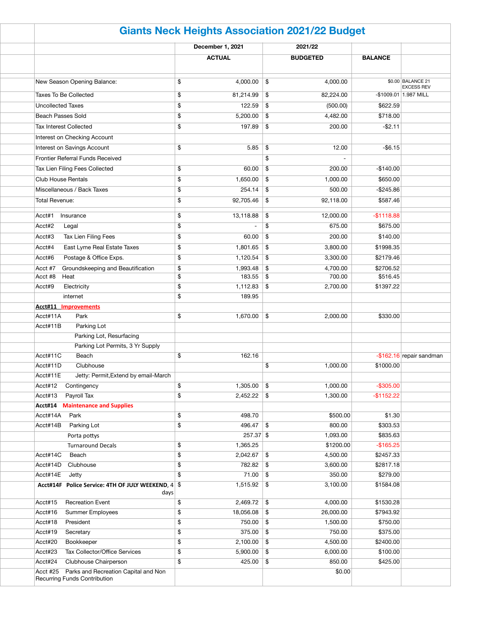| <b>Giants Neck Heights Association 2021/22 Budget</b>                                   |          |                    |                            |                    |                       |                                        |  |  |
|-----------------------------------------------------------------------------------------|----------|--------------------|----------------------------|--------------------|-----------------------|----------------------------------------|--|--|
|                                                                                         |          | December 1, 2021   |                            | 2021/22            |                       |                                        |  |  |
|                                                                                         |          | <b>ACTUAL</b>      |                            | <b>BUDGETED</b>    | <b>BALANCE</b>        |                                        |  |  |
| New Season Opening Balance:                                                             | \$       | 4,000.00           | \$                         | 4,000.00           |                       | \$0.00 BALANCE 21<br><b>EXCESS REV</b> |  |  |
| <b>Taxes To Be Collected</b>                                                            | \$       | 81,214.99          | $\boldsymbol{\mathsf{\$}}$ | 82,224.00          |                       | -\$1009.01 1.987 MILL                  |  |  |
| <b>Uncollected Taxes</b>                                                                | \$       | 122.59             | \$                         | (500.00)           | \$622.59              |                                        |  |  |
| <b>Beach Passes Sold</b>                                                                | \$       | 5,200.00           | \$                         | 4,482.00           | \$718.00              |                                        |  |  |
| <b>Tax Interest Collected</b>                                                           | \$       | 197.89             | \$                         | 200.00             | $-$ \$2.11            |                                        |  |  |
| Interest on Checking Account                                                            |          |                    |                            |                    |                       |                                        |  |  |
| Interest on Savings Account                                                             | \$       | 5.85               | $\boldsymbol{\mathsf{\$}}$ | 12.00              | $-$ \$6.15            |                                        |  |  |
| <b>Frontier Referral Funds Received</b>                                                 |          |                    | \$                         |                    |                       |                                        |  |  |
| Tax Lien Filing Fees Collected                                                          | \$       | 60.00              | \$                         | 200.00             | $-$140.00$            |                                        |  |  |
| <b>Club House Rentals</b>                                                               | \$       | 1,650.00           | \$                         | 1,000.00           | \$650.00              |                                        |  |  |
| Miscellaneous / Back Taxes                                                              | \$       | 254.14             | \$                         | 500.00             | $-$245.86$            |                                        |  |  |
| <b>Total Revenue:</b>                                                                   | \$       | 92,705.46          | $\boldsymbol{\mathsf{\$}}$ | 92,118.00          | \$587.46              |                                        |  |  |
| Acct#1                                                                                  | \$       | 13,118.88          | $\boldsymbol{\mathsf{\$}}$ | 12,000.00          | $-$1118.88$           |                                        |  |  |
| Insurance                                                                               |          |                    |                            |                    |                       |                                        |  |  |
| Acct#2<br>Legal                                                                         | \$       |                    | \$                         | 675.00             | \$675.00              |                                        |  |  |
| Tax Lien Filing Fees<br>Acct#3                                                          | \$       | 60.00              | \$                         | 200.00             | \$140.00              |                                        |  |  |
| Acct#4<br>East Lyme Real Estate Taxes                                                   | \$       | 1,801.65           | \$                         | 3,800.00           | \$1998.35             |                                        |  |  |
| Acct#6<br>Postage & Office Exps.                                                        | \$       | 1,120.54           | \$                         | 3,300.00           | \$2179.46             |                                        |  |  |
| Groundskeeping and Beautification<br>Acct #7<br>Acct #8<br>Heat                         | \$<br>\$ | 1,993.48<br>183.55 | \$                         | 4,700.00<br>700.00 | \$2706.52<br>\$516.45 |                                        |  |  |
| Acct#9                                                                                  |          |                    | \$                         |                    | \$1397.22             |                                        |  |  |
| Electricity<br>internet                                                                 | \$<br>\$ | 189.95             |                            | 2,700.00           |                       |                                        |  |  |
| <b>Acct#11 Improvements</b>                                                             |          |                    |                            |                    |                       |                                        |  |  |
| Park<br>Acct#11A                                                                        | \$       | $1,670.00$ \$      |                            | 2,000.00           | \$330.00              |                                        |  |  |
| Parking Lot<br>Acct#11B                                                                 |          |                    |                            |                    |                       |                                        |  |  |
| Parking Lot, Resurfacing                                                                |          |                    |                            |                    |                       |                                        |  |  |
| Parking Lot Permits, 3 Yr Supply                                                        |          |                    |                            |                    |                       |                                        |  |  |
| Acct#11C<br>Beach                                                                       | \$       | 162.16             |                            |                    |                       | $-$ \$162.16 repair sandman            |  |  |
| Acct#11D<br>Clubhouse                                                                   |          |                    | \$                         | 1,000.00           | \$1000.00             |                                        |  |  |
| Jetty: Permit, Extend by email-March<br>Acct#11E                                        |          |                    |                            |                    |                       |                                        |  |  |
| Acct#12<br>Contingency                                                                  | \$       | 1,305.00           | \$                         | 1,000.00           | $-$ \$305.00          |                                        |  |  |
| Acct#13<br>Payroll Tax                                                                  | \$       | 2,452.22           | \$                         | 1,300.00           | $-$1152.22$           |                                        |  |  |
| <b>Maintenance and Supplies</b><br>Acct#14                                              |          |                    |                            |                    |                       |                                        |  |  |
| Acct#14A<br>Park                                                                        | \$       | 498.70             |                            | \$500.00           | \$1.30                |                                        |  |  |
| Parking Lot<br>Acct#14B                                                                 | \$       | 496.47             | \$                         | 800.00             | \$303.53              |                                        |  |  |
| Porta pottys                                                                            |          | $257.37$ \$        |                            | 1,093.00           | \$835.63              |                                        |  |  |
| <b>Turnaround Decals</b>                                                                | \$       | 1,365.25           |                            | \$1200.00          | $-$165.25$            |                                        |  |  |
| Acct#14C<br>Beach                                                                       | \$       | 2,042.67           | \$                         | 4,500.00           | \$2457.33             |                                        |  |  |
| Acct#14D<br>Clubhouse                                                                   | \$       | 782.82             | \$                         | 3,600.00           | \$2817.18             |                                        |  |  |
| Acct#14E<br>Jetty                                                                       | \$       | 71.00              | \$                         | 350.00             | \$279.00              |                                        |  |  |
| Acct#14F Police Service: 4TH OF JULY WEEKEND, 4 \$<br>days                              |          | 1,515.92           | \$                         | 3,100.00           | \$1584.08             |                                        |  |  |
| Acct#15<br><b>Recreation Event</b>                                                      | \$       | 2,469.72           | \$                         | 4,000.00           | \$1530.28             |                                        |  |  |
| Acct#16<br><b>Summer Employees</b>                                                      | \$       | 18,056.08          | $\boldsymbol{\mathsf{\$}}$ | 26,000.00          | \$7943.92             |                                        |  |  |
| Acct#18<br>President                                                                    | \$       | 750.00             | \$                         | 1,500.00           | \$750.00              |                                        |  |  |
| Acct#19<br>Secretary                                                                    | \$       | 375.00             | \$                         | 750.00             | \$375.00              |                                        |  |  |
| Acct#20<br>Bookkeeper                                                                   | \$       | 2,100.00           | \$                         | 4,500.00           | \$2400.00             |                                        |  |  |
| Tax Collector/Office Services<br>Acct#23                                                | \$       | 5,900.00           | \$                         | 6,000.00           | \$100.00              |                                        |  |  |
| Acct#24<br>Clubhouse Chairperson                                                        | \$       | 425.00             | \$                         | 850.00             | \$425.00              |                                        |  |  |
| Parks and Recreation Capital and Non<br>Acct #25<br><b>Recurring Funds Contribution</b> |          |                    |                            | \$0.00             |                       |                                        |  |  |
|                                                                                         |          |                    |                            |                    |                       |                                        |  |  |